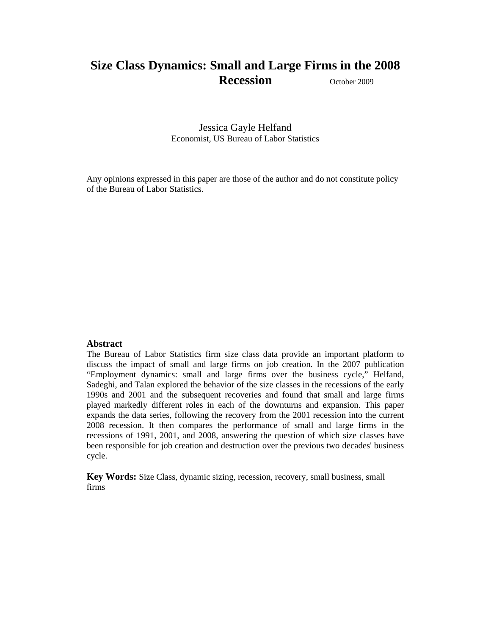# **Size Class Dynamics: Small and Large Firms in the 2008 Recession** October 2009

Jessica Gayle Helfand Economist, US Bureau of Labor Statistics

Any opinions expressed in this paper are those of the author and do not constitute policy of the Bureau of Labor Statistics.

### **Abstract**

The Bureau of Labor Statistics firm size class data provide an important platform to discuss the impact of small and large firms on job creation. In the 2007 publication "Employment dynamics: small and large firms over the business cycle," Helfand, Sadeghi, and Talan explored the behavior of the size classes in the recessions of the early 1990s and 2001 and the subsequent recoveries and found that small and large firms played markedly different roles in each of the downturns and expansion. This paper expands the data series, following the recovery from the 2001 recession into the current 2008 recession. It then compares the performance of small and large firms in the recessions of 1991, 2001, and 2008, answering the question of which size classes have been responsible for job creation and destruction over the previous two decades' business cycle.

**Key Words:** Size Class, dynamic sizing, recession, recovery, small business, small firms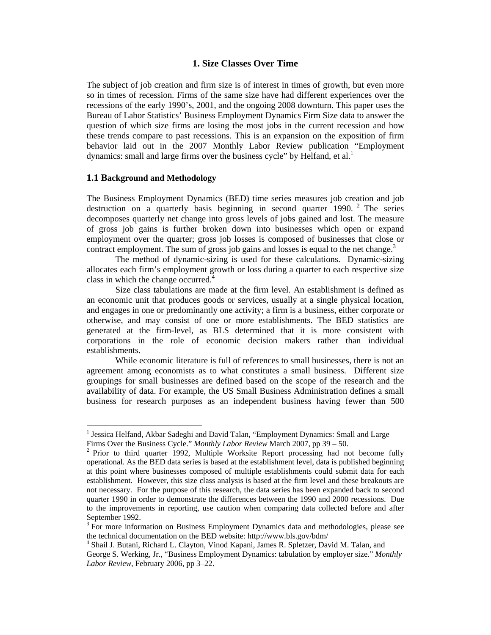## **1. Size Classes Over Time**

The subject of job creation and firm size is of interest in times of growth, but even more so in times of recession. Firms of the same size have had different experiences over the recessions of the early 1990's, 2001, and the ongoing 2008 downturn. This paper uses the Bureau of Labor Statistics' Business Employment Dynamics Firm Size data to answer the question of which size firms are losing the most jobs in the current recession and how these trends compare to past recessions. This is an expansion on the exposition of firm behavior laid out in the 2007 Monthly Labor Review publication "Employment dynamics: small and large firms over the business cycle" by Helfand, et al.<sup>1</sup>

#### **1.1 Background and Methodology**

The Business Employment Dynamics (BED) time series measures job creation and job destruction on a quarterly basis beginning in second quarter 1990.<sup>2</sup> The series decomposes quarterly net change into gross levels of jobs gained and lost. The measure of gross job gains is further broken down into businesses which open or expand employment over the quarter; gross job losses is composed of businesses that close or contract employment. The sum of gross job gains and losses is equal to the net change.<sup>3</sup>

The method of dynamic-sizing is used for these calculations. Dynamic-sizing allocates each firm's employment growth or loss during a quarter to each respective size class in which the change occurred.<sup>4</sup>

Size class tabulations are made at the firm level. An establishment is defined as an economic unit that produces goods or services, usually at a single physical location, and engages in one or predominantly one activity; a firm is a business, either corporate or otherwise, and may consist of one or more establishments. The BED statistics are generated at the firm-level, as BLS determined that it is more consistent with corporations in the role of economic decision makers rather than individual establishments.

While economic literature is full of references to small businesses, there is not an agreement among economists as to what constitutes a small business. Different size groupings for small businesses are defined based on the scope of the research and the availability of data. For example, the US Small Business Administration defines a small business for research purposes as an independent business having fewer than 500

<sup>&</sup>lt;sup>1</sup> Jessica Helfand, Akbar Sadeghi and David Talan, "Employment Dynamics: Small and Large Firms Over the Business Cycle." *Monthly Labor Review* March 2007, pp 39 – 50.<br><sup>2</sup> Prior to third quarter 1992, Multiple Worksite Report processing had not become fully

operational. As the BED data series is based at the establishment level, data is published beginning at this point where businesses composed of multiple establishments could submit data for each establishment. However, this size class analysis is based at the firm level and these breakouts are not necessary. For the purpose of this research, the data series has been expanded back to second quarter 1990 in order to demonstrate the differences between the 1990 and 2000 recessions. Due to the improvements in reporting, use caution when comparing data collected before and after September 1992.

 $3 \overline{\text{F}}$  For more information on Business Employment Dynamics data and methodologies, please see the technical documentation on the BED website: http://www.bls.gov/bdm/ 4

Shail J. Butani, Richard L. Clayton, Vinod Kapani, James R. Spletzer, David M. Talan, and

George S. Werking, Jr., "Business Employment Dynamics: tabulation by employer size." *Monthly Labor Review*, February 2006, pp 3–22.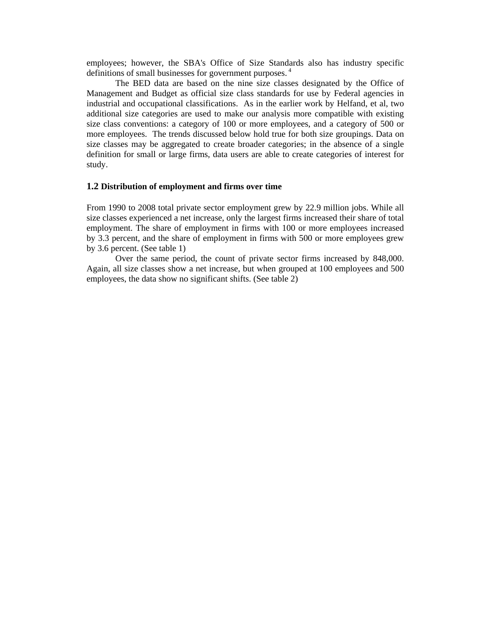employees; however, the SBA's Office of Size Standards also has industry specific definitions of small businesses for government purposes.<sup>4</sup>

The BED data are based on the nine size classes designated by the Office of Management and Budget as official size class standards for use by Federal agencies in industrial and occupational classifications. As in the earlier work by Helfand, et al, two additional size categories are used to make our analysis more compatible with existing size class conventions: a category of 100 or more employees, and a category of 500 or more employees. The trends discussed below hold true for both size groupings. Data on size classes may be aggregated to create broader categories; in the absence of a single definition for small or large firms, data users are able to create categories of interest for study.

#### **1.2 Distribution of employment and firms over time**

From 1990 to 2008 total private sector employment grew by 22.9 million jobs. While all size classes experienced a net increase, only the largest firms increased their share of total employment. The share of employment in firms with 100 or more employees increased by 3.3 percent, and the share of employment in firms with 500 or more employees grew by 3.6 percent. (See table 1)

Over the same period, the count of private sector firms increased by 848,000. Again, all size classes show a net increase, but when grouped at 100 employees and 500 employees, the data show no significant shifts. (See table 2)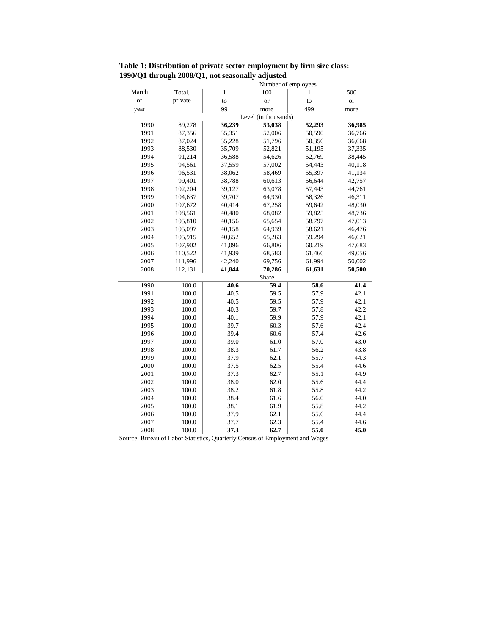**Table 1: Distribution of private sector employment by firm size class: 1990/Q1 through 2008/Q1, not seasonally adjusted**

|       |         | Number of employees  |               |        |           |  |  |
|-------|---------|----------------------|---------------|--------|-----------|--|--|
| March | Total,  | $\mathbf{1}$         | 100           | 1      | 500       |  |  |
| of    | private | to                   | <sub>or</sub> | to     | <b>or</b> |  |  |
| year  |         | 99                   | more          | 499    | more      |  |  |
|       |         | Level (in thousands) |               |        |           |  |  |
| 1990  | 89,278  | 36,239               | 53,038        | 52,293 | 36,985    |  |  |
| 1991  | 87,356  | 35,351               | 52,006        | 50,590 | 36,766    |  |  |
| 1992  | 87,024  | 35,228               | 51,796        | 50,356 | 36,668    |  |  |
| 1993  | 88,530  | 35,709               | 52,821        | 51,195 | 37,335    |  |  |
| 1994  | 91,214  | 36,588               | 54,626        | 52,769 | 38,445    |  |  |
| 1995  | 94,561  | 37,559               | 57,002        | 54,443 | 40,118    |  |  |
| 1996  | 96,531  | 38,062               | 58,469        | 55,397 | 41,134    |  |  |
| 1997  | 99,401  | 38,788               | 60,613        | 56,644 | 42,757    |  |  |
| 1998  | 102,204 | 39,127               | 63,078        | 57,443 | 44,761    |  |  |
| 1999  | 104,637 | 39,707               | 64,930        | 58,326 | 46,311    |  |  |
| 2000  | 107,672 | 40,414               | 67,258        | 59,642 | 48,030    |  |  |
| 2001  | 108,561 | 40,480               | 68,082        | 59,825 | 48,736    |  |  |
| 2002  | 105,810 | 40,156               | 65,654        | 58,797 | 47,013    |  |  |
| 2003  | 105,097 | 40,158               | 64,939        | 58,621 | 46,476    |  |  |
| 2004  | 105,915 | 40,652               | 65,263        | 59,294 | 46,621    |  |  |
| 2005  | 107,902 | 41,096               | 66,806        | 60,219 | 47,683    |  |  |
| 2006  | 110,522 | 41,939               | 68,583        | 61,466 | 49,056    |  |  |
| 2007  | 111,996 | 42,240               | 69,756        | 61,994 | 50,002    |  |  |
| 2008  | 112,131 | 41,844               | 70,286        | 61,631 | 50,500    |  |  |
|       |         |                      | Share         |        |           |  |  |
| 1990  | 100.0   | 40.6                 | 59.4          | 58.6   | 41.4      |  |  |
| 1991  | 100.0   | 40.5                 | 59.5          | 57.9   | 42.1      |  |  |
| 1992  | 100.0   | 40.5                 | 59.5          | 57.9   | 42.1      |  |  |
| 1993  | 100.0   | 40.3                 | 59.7          | 57.8   | 42.2      |  |  |
| 1994  | 100.0   | 40.1                 | 59.9          | 57.9   | 42.1      |  |  |
| 1995  | 100.0   | 39.7                 | 60.3          | 57.6   | 42.4      |  |  |
| 1996  | 100.0   | 39.4                 | 60.6          | 57.4   | 42.6      |  |  |
| 1997  | 100.0   | 39.0                 | 61.0          | 57.0   | 43.0      |  |  |
| 1998  | 100.0   | 38.3                 | 61.7          | 56.2   | 43.8      |  |  |
| 1999  | 100.0   | 37.9                 | 62.1          | 55.7   | 44.3      |  |  |
| 2000  | 100.0   | 37.5                 | 62.5          | 55.4   | 44.6      |  |  |
| 2001  | 100.0   | 37.3                 | 62.7          | 55.1   | 44.9      |  |  |
| 2002  | 100.0   | 38.0                 | 62.0          | 55.6   | 44.4      |  |  |
| 2003  | 100.0   | 38.2                 | 61.8          | 55.8   | 44.2      |  |  |
| 2004  | 100.0   | 38.4                 | 61.6          | 56.0   | 44.0      |  |  |
| 2005  | 100.0   | 38.1                 | 61.9          | 55.8   | 44.2      |  |  |
| 2006  | 100.0   | 37.9                 | 62.1          | 55.6   | 44.4      |  |  |
| 2007  | 100.0   | 37.7                 | 62.3          | 55.4   | 44.6      |  |  |
| 2008  | 100.0   | 37.3                 | 62.7          | 55.0   | 45.0      |  |  |

Source: Bureau of Labor Statistics, Quarterly Census of Employment and Wages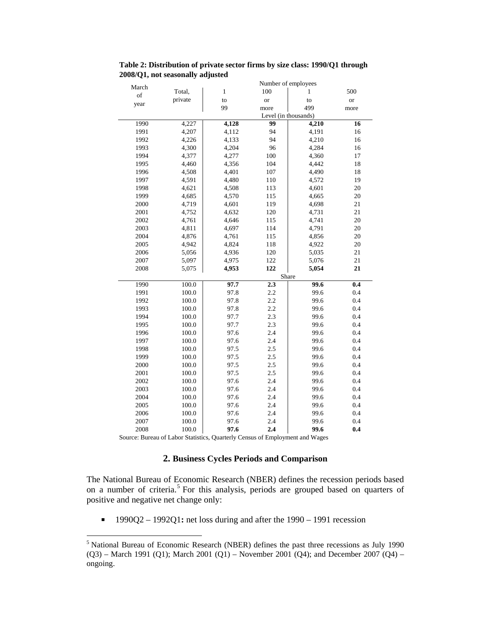| Number of employees<br>March<br>Total,<br>$\,1\,$<br>100<br>1<br>of | 500                                       |  |  |  |  |  |
|---------------------------------------------------------------------|-------------------------------------------|--|--|--|--|--|
|                                                                     |                                           |  |  |  |  |  |
|                                                                     |                                           |  |  |  |  |  |
| private<br>to<br><b>or</b><br>to<br>year                            | or                                        |  |  |  |  |  |
| 99<br>499<br>more                                                   | more                                      |  |  |  |  |  |
|                                                                     | Level (in thousands)<br>99<br>16<br>4,210 |  |  |  |  |  |
| 1990<br>4,227<br>4,128                                              |                                           |  |  |  |  |  |
| 1991<br>4,207<br>4,112<br>94<br>4,191                               | 16                                        |  |  |  |  |  |
| 94<br>4,210<br>1992<br>4,226<br>4,133                               | 16                                        |  |  |  |  |  |
| 1993<br>4,300<br>4,204<br>96<br>4,284                               | 16                                        |  |  |  |  |  |
| 1994<br>4,377<br>4,277<br>100<br>4,360                              | 17                                        |  |  |  |  |  |
| 1995<br>4,460<br>4,356<br>104<br>4,442                              | 18                                        |  |  |  |  |  |
| 1996<br>4,401<br>107<br>4,490<br>4,508                              | 18                                        |  |  |  |  |  |
| 1997<br>4,591<br>4,480<br>4,572<br>110                              | 19                                        |  |  |  |  |  |
| 1998<br>4,621<br>4,508<br>113<br>4,601                              | 20                                        |  |  |  |  |  |
| 1999<br>4,685<br>4,570<br>115<br>4,665                              | 20                                        |  |  |  |  |  |
| 2000<br>4,698<br>4,719<br>4,601<br>119                              | $21\,$                                    |  |  |  |  |  |
| 2001<br>4,752<br>4,632<br>120<br>4,731                              | 21                                        |  |  |  |  |  |
| 2002<br>4,761<br>115<br>4,741<br>4,646                              | 20                                        |  |  |  |  |  |
| 2003<br>4,791<br>4,811<br>4,697<br>114                              | $20\,$                                    |  |  |  |  |  |
| 2004<br>4,876<br>4,761<br>115<br>4,856                              | 20                                        |  |  |  |  |  |
| 2005<br>4,942<br>4,824<br>118<br>4,922                              | 20                                        |  |  |  |  |  |
| 2006<br>120<br>4,936<br>5,035<br>5,056                              | 21                                        |  |  |  |  |  |
| 2007<br>5,097<br>4,975<br>122<br>5,076                              | 21                                        |  |  |  |  |  |
| 2008<br>5,075<br>122<br>4,953<br>5,054                              | 21                                        |  |  |  |  |  |
| Share                                                               |                                           |  |  |  |  |  |
| 1990<br>100.0<br>97.7<br>2.3                                        | 99.6<br>$\overline{\mathbf{0.4}}$         |  |  |  |  |  |
| 1991<br>100.0<br>97.8<br>2.2                                        | 99.6<br>0.4                               |  |  |  |  |  |
| 1992<br>100.0<br>97.8<br>2.2                                        | 0.4<br>99.6                               |  |  |  |  |  |
| 2.2<br>1993<br>97.8<br>100.0                                        | 99.6<br>0.4                               |  |  |  |  |  |
| 1994<br>100.0<br>97.7<br>2.3                                        | 99.6<br>0.4                               |  |  |  |  |  |
| 1995<br>100.0<br>97.7<br>2.3                                        | 99.6<br>0.4                               |  |  |  |  |  |
| 1996<br>100.0<br>97.6<br>2.4                                        | 99.6<br>0.4                               |  |  |  |  |  |
| 1997<br>100.0<br>97.6<br>2.4                                        | 99.6<br>0.4                               |  |  |  |  |  |
| 1998<br>100.0<br>97.5<br>2.5                                        | 0.4<br>99.6                               |  |  |  |  |  |
| 1999<br>100.0<br>97.5<br>2.5                                        | 99.6<br>0.4                               |  |  |  |  |  |
| 2000<br>100.0<br>97.5<br>2.5                                        | 99.6<br>0.4                               |  |  |  |  |  |
| 2001<br>100.0<br>97.5<br>2.5                                        | 99.6<br>0.4                               |  |  |  |  |  |
| 2002<br>97.6<br>100.0<br>2.4                                        | 0.4<br>99.6                               |  |  |  |  |  |
| 2003<br>100.0<br>97.6<br>2.4                                        | 99.6<br>0.4                               |  |  |  |  |  |
| 2004<br>100.0<br>97.6<br>2.4                                        | 99.6<br>0.4                               |  |  |  |  |  |
| 2005<br>100.0<br>97.6<br>2.4                                        | 99.6<br>0.4                               |  |  |  |  |  |
| 2006<br>100.0<br>97.6<br>2.4                                        | 0.4<br>99.6                               |  |  |  |  |  |
| 2007<br>100.0<br>97.6<br>2.4                                        | 99.6<br>0.4                               |  |  |  |  |  |
| 97.6<br>2008<br>100.0<br>2.4                                        | 99.6<br>0.4                               |  |  |  |  |  |

**Table 2: Distribution of private sector firms by size class: 1990/Q1 through 2008/Q1, not seasonally adjusted**

Source: Bureau of Labor Statistics, Quarterly Census of Employment and Wages

# **2. Business Cycles Periods and Comparison**

The National Bureau of Economic Research (NBER) defines the recession periods based on a number of criteria.<sup>5</sup> For this analysis, periods are grouped based on quarters of positive and negative net change only:

1990Q2 – 1992Q1: net loss during and after the 1990 – 1991 recession

<sup>&</sup>lt;sup>5</sup> National Bureau of Economic Research (NBER) defines the past three recessions as July 1990  $(Q3)$  – March 1991 (Q1); March 2001 (Q1) – November 2001 (Q4); and December 2007 (Q4) – ongoing.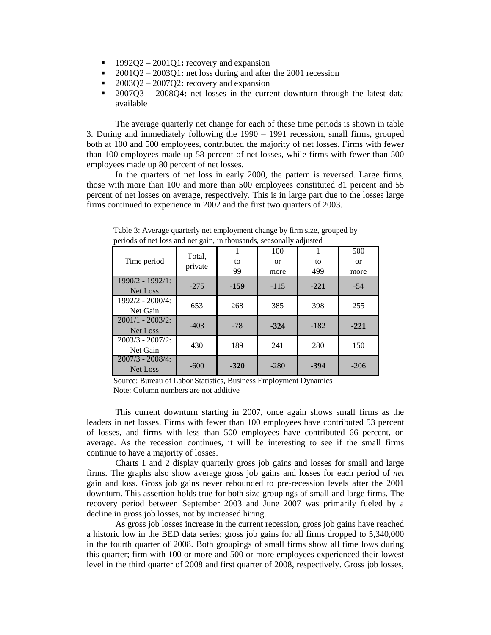- 1992O2 2001O1: recovery and expansion
- 2001Q2 2003Q1**:** net loss during and after the 2001 recession
- 2003Q2 2007Q2**:** recovery and expansion<br>2007Q3 2008Q4; net losses in the curre
- 2007Q3 2008Q4**:** net losses in the current downturn through the latest data available

The average quarterly net change for each of these time periods is shown in table 3. During and immediately following the 1990 – 1991 recession, small firms, grouped both at 100 and 500 employees, contributed the majority of net losses. Firms with fewer than 100 employees made up 58 percent of net losses, while firms with fewer than 500 employees made up 80 percent of net losses.

In the quarters of net loss in early 2000, the pattern is reversed. Large firms, those with more than 100 and more than 500 employees constituted 81 percent and 55 percent of net losses on average, respectively. This is in large part due to the losses large firms continued to experience in 2002 and the first two quarters of 2003.

| $\mathbf{r}$                    | $\tilde{\phantom{a}}$ |          |                         | ◡         |                              |
|---------------------------------|-----------------------|----------|-------------------------|-----------|------------------------------|
| Time period                     | Total,<br>private     | to<br>99 | 100<br>$\alpha$<br>more | to<br>499 | 500<br><sub>or</sub><br>more |
| 1990/2 - 1992/1:<br>Net Loss    | $-275$                | $-159$   | $-115$                  | $-221$    | $-54$                        |
| $1992/2 - 2000/4$ :<br>Net Gain | 653                   | 268      | 385                     | 398       | 255                          |
| $2001/1 - 2003/2$<br>Net Loss   | $-403$                | $-78$    | $-324$                  | $-182$    | $-221$                       |
| $2003/3 - 2007/2$<br>Net Gain   | 430                   | 189      | 241                     | 280       | 150                          |
| $2007/3 - 2008/4$ :<br>Net Loss | $-600$                | $-320$   | $-280$                  | $-394$    | $-206$                       |

Table 3: Average quarterly net employment change by firm size, grouped by periods of net loss and net gain, in thousands, seasonally adjusted

Note: Column numbers are not additive Source: Bureau of Labor Statistics, Business Employment Dynamics

This current downturn starting in 2007, once again shows small firms as the leaders in net losses. Firms with fewer than 100 employees have contributed 53 percent of losses, and firms with less than 500 employees have contributed 66 percent, on average. As the recession continues, it will be interesting to see if the small firms continue to have a majority of losses.

Charts 1 and 2 display quarterly gross job gains and losses for small and large firms. The graphs also show average gross job gains and losses for each period of *net* gain and loss. Gross job gains never rebounded to pre-recession levels after the 2001 downturn. This assertion holds true for both size groupings of small and large firms. The recovery period between September 2003 and June 2007 was primarily fueled by a decline in gross job losses, not by increased hiring.

As gross job losses increase in the current recession, gross job gains have reached a historic low in the BED data series; gross job gains for all firms dropped to 5,340,000 in the fourth quarter of 2008. Both groupings of small firms show all time lows during this quarter; firm with 100 or more and 500 or more employees experienced their lowest level in the third quarter of 2008 and first quarter of 2008, respectively. Gross job losses,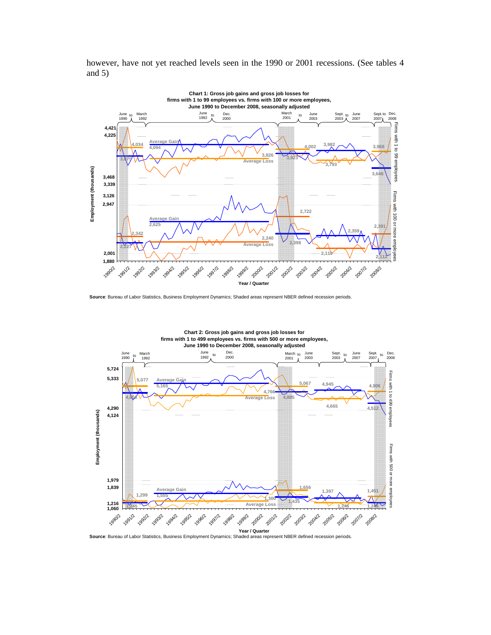

however, have not yet reached levels seen in the 1990 or 2001 recessions. (See tables 4 and 5)

**Source**: Bureau of Labor Statistics, Business Employment Dynamics; Shaded areas represent NBER defined recession periods.



**Source**: Bureau of Labor Statistics, Business Employment Dynamics; Shaded areas represent NBER defined recession periods.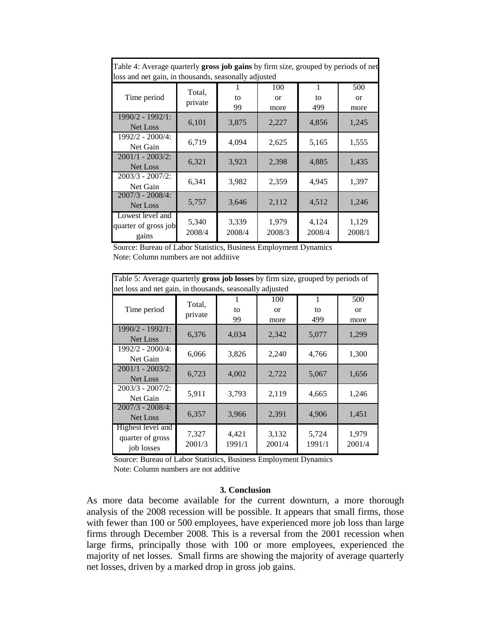| Table 4: Average quarterly gross job gains by firm size, grouped by periods of net<br>loss and net gain, in thousands, seasonally adjusted |                   |                 |                         |                           |                         |
|--------------------------------------------------------------------------------------------------------------------------------------------|-------------------|-----------------|-------------------------|---------------------------|-------------------------|
| Time period                                                                                                                                | Total,<br>private | to<br>99        | 100<br>$\alpha$<br>more | $\mathbf{1}$<br>to<br>499 | 500<br>$\alpha$<br>more |
| $1990/2 - 1992/1$ :<br>Net Loss                                                                                                            | 6,101             | 3,875           | 2,227                   | 4,856                     | 1,245                   |
| $1992/2 - 2000/4$ :<br>Net Gain                                                                                                            | 6,719             | 4,094           | 2,625                   | 5,165                     | 1,555                   |
| $2001/1 - 2003/2$<br>Net Loss                                                                                                              | 6,321             | 3,923           | 2,398                   | 4,885                     | 1,435                   |
| $2003/3 - 2007/2$<br>Net Gain                                                                                                              | 6,341             | 3,982           | 2,359                   | 4,945                     | 1,397                   |
| $2007/3 - 2008/4$ :<br>Net Loss                                                                                                            | 5,757             | 3,646           | 2,112                   | 4,512                     | 1,246                   |
| Lowest level and<br>quarter of gross job<br>gains                                                                                          | 5,340<br>2008/4   | 3,339<br>2008/4 | 1,979<br>2008/3         | 4,124<br>2008/4           | 1,129<br>2008/1         |

Source: Bureau of Labor Statistics, Business Employment Dynamics Note: Column numbers are not additive

| Table 5: Average quarterly gross job losses by firm size, grouped by periods of<br>net loss and net gain, in thousands, seasonally adjusted |                   |                 |                          |                 |                          |
|---------------------------------------------------------------------------------------------------------------------------------------------|-------------------|-----------------|--------------------------|-----------------|--------------------------|
| Time period                                                                                                                                 | Total,<br>private | to<br>99        | 100<br><b>or</b><br>more | 1<br>to<br>499  | 500<br><b>or</b><br>more |
| 1990/2 - 1992/1:<br>Net Loss                                                                                                                | 6,376             | 4,034           | 2,342                    | 5,077           | 1,299                    |
| 1992/2 - 2000/4:<br>Net Gain                                                                                                                | 6,066             | 3,826           | 2,240                    | 4,766           | 1,300                    |
| $2001/1 - 2003/2$<br>Net Loss                                                                                                               | 6,723             | 4,002           | 2,722                    | 5,067           | 1,656                    |
| $2003/3 - 2007/2$ :<br>Net Gain                                                                                                             | 5,911             | 3,793           | 2,119                    | 4,665           | 1,246                    |
| $2007/3 - 2008/4$ :<br>Net Loss                                                                                                             | 6,357             | 3,966           | 2,391                    | 4,906           | 1,451                    |
| Highest level and<br>quarter of gross<br>job losses                                                                                         | 7,327<br>2001/3   | 4,421<br>1991/1 | 3,132<br>2001/4          | 5,724<br>1991/1 | 1,979<br>2001/4          |

Source: Bureau of Labor Statistics, Business Employment Dynamics Note: Column numbers are not additive

# **3. Conclusion**

As more data become available for the current downturn, a more thorough analysis of the 2008 recession will be possible. It appears that small firms, those with fewer than 100 or 500 employees, have experienced more job loss than large firms through December 2008. This is a reversal from the 2001 recession when large firms, principally those with 100 or more employees, experienced the majority of net losses. Small firms are showing the majority of average quarterly net losses, driven by a marked drop in gross job gains.